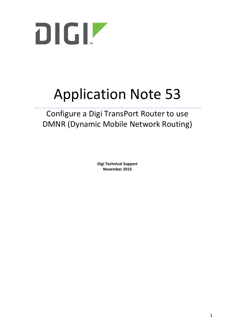

# Application Note 53

# Configure a Digi TransPort Router to use DMNR (Dynamic Mobile Network Routing)

**Digi Technical Support November 2015**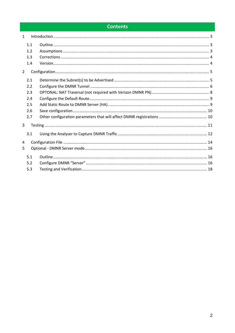# **Contents**

| $\mathbf{1}$   |     |  |
|----------------|-----|--|
|                | 1.1 |  |
|                | 1.2 |  |
|                | 1.3 |  |
|                | 1.4 |  |
| $\overline{2}$ |     |  |
|                | 2.1 |  |
|                | 2.2 |  |
|                | 2.3 |  |
|                | 2.4 |  |
|                | 2.5 |  |
|                | 2.6 |  |
|                | 2.7 |  |
| 3              |     |  |
|                | 3.1 |  |
| 4              |     |  |
| 5.             |     |  |
|                | 5.1 |  |
|                | 5.2 |  |
|                | 5.3 |  |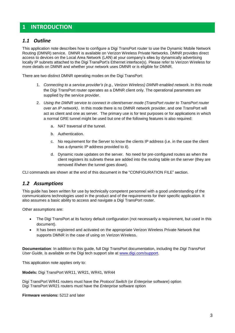# <span id="page-2-0"></span>**1 INTRODUCTION**

#### <span id="page-2-1"></span>*1.1 Outline*

This application note describes how to configure a Digi TransPort router to use the Dynamic Mobile Network Routing (DMNR) service. DMNR is available on Verizon Wireless Private Networks. DMNR provides direct access to devices on the Local Area Network (LAN) at your company's sites by dynamically advertising locally IP subnets attached to the Digi TransPort's Ethernet interface(s). Please refer to Verizon Wireless for more details on DMNR and whether your network uses DMNR or is eligible for DMNR.

There are two distinct DMNR operating modes on the Digi TransPort:

- 1. *Connecting to a service provider's (e.g., Verizon Wireless) DMNR-enabled network*. In this mode the Digi TransPort router operates as a DMNR client only. The operational parameters are supplied by the service provider.
- 2. *Using the DMNR service to connect in client/server mode (TransPort router to TransPort router over an IP network)*. In this mode there is no DMNR network provider, and one TransPort will act as client and one as server. The primary use is for test purposes or for applications in which a normal GRE tunnel might be used but one of the following features is also required:
	- a. NAT traversal of the tunnel.
	- b. Authentication.
	- c. No requirement for the Server to know the clients IP address (i.e. in the case the client has a dynamic IP address provided to it).
	- d. Dynamic route updates on the server. No need for pre-configured routes as when the client registers its subnets these are added into the routing table on the server (they are removed if/when the tunnel goes down).

CLI commands are shown at the end of this document in the "CONFIGURATION FILE" section.

#### <span id="page-2-2"></span>*1.2 Assumptions*

This guide has been written for use by technically competent personnel with a good understanding of the communications technologies used in the product and of the requirements for their specific application. It also assumes a basic ability to access and navigate a Digi TransPort router.

Other assumptions are:

- The Digi TransPort at its factory default configuration (not necessarily a requirement, but used in this document).
- It has been registered and activated on the appropriate Verizon Wireless Private Network that supports DMNR in the case of using on Verizon Wireless.

**Documentation**: In addition to this guide, full Digi TransPort documentation, including the *Digi TransPort User Guide*, is available on the Digi tech support site at [www.digi.com/support.](http://www.digi.com/support)

This application note applies only to:

**Models:** Digi TransPort WR11, WR21, WR41, WR44

Digi TransPort WR41 routers must have the *Protocol Switch* (or *Enterprise* software) option Digi TransPort WR21 routers must have the *Enterprise* software option

**Firmware versions:** 5212 and later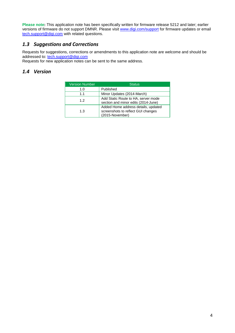**Please note:** This application note has been specifically written for firmware release 5212 and later; earlier versions of firmware do not support DMNR. Please visit [www.digi.com/support](http://www.digi.com/support) for firmware updates or email [tech.support@digi.com](mailto:tech.support@digi.com) with related questions.

# <span id="page-3-0"></span>*1.3 Suggestions and Corrections*

Requests for suggestions, corrections or amendments to this application note are welcome and should be addressed to: [tech.support@digi.com](mailto:tech.support@digi.com)

<span id="page-3-1"></span>Requests for new application notes can be sent to the same address.

# *1.4 Version*

| <b>Version Number</b> | <b>Status</b>                                                                                |
|-----------------------|----------------------------------------------------------------------------------------------|
| 1.0                   | Published                                                                                    |
| 1.1                   | Minor Updates (2014-March)                                                                   |
| 12                    | Add Static Route to HA, server mode<br>section and minor edits (2014-June)                   |
| 1.3                   | Added Home address details, updated<br>screenshots to reflect GUI changes<br>(2015-November) |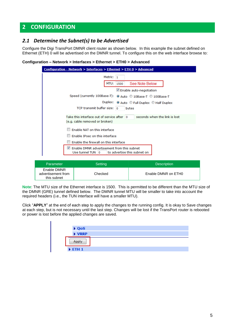# <span id="page-4-0"></span>**2 CONFIGURATION**

advertisement from this subnet

# <span id="page-4-1"></span>*2.1 Determine the Subnet(s) to be Advertised*

Configure the Digi TransPort DMNR client router as shown below. In this example the subnet defined on Ethernet (ETH) 0 will be advertised on the DMNR tunnel. To configure this on the web interface browse to:

|  |  | Configuration - Network > Interfaces > Ethernet > ETH0 > Advanced |  |
|--|--|-------------------------------------------------------------------|--|
|  |  |                                                                   |  |

| <u> Configuration - Network &gt; Interfaces &gt; Ethernet &gt; ETH 0 &gt; Advanced</u> |                                                                                                                                                                                       |                                            |  |  |  |  |
|----------------------------------------------------------------------------------------|---------------------------------------------------------------------------------------------------------------------------------------------------------------------------------------|--------------------------------------------|--|--|--|--|
|                                                                                        | Metric: $1$                                                                                                                                                                           |                                            |  |  |  |  |
|                                                                                        | See Note Below<br>MTU:<br>1500                                                                                                                                                        |                                            |  |  |  |  |
| Enable auto-negotiation                                                                |                                                                                                                                                                                       |                                            |  |  |  |  |
|                                                                                        | Speed (currently 100Base-T): @ Auto @ 10Base-T @ 100Base-T                                                                                                                            |                                            |  |  |  |  |
|                                                                                        |                                                                                                                                                                                       | Duplex: @ Auto © Full Duplex © Half Duplex |  |  |  |  |
|                                                                                        | TCP transmit buffer size: 0<br>bytes<br>Take this interface out of service after 0<br>seconds when the link is lost<br>(e.g. cable removed or broken)<br>Enable NAT on this interface |                                            |  |  |  |  |
|                                                                                        |                                                                                                                                                                                       |                                            |  |  |  |  |
|                                                                                        |                                                                                                                                                                                       |                                            |  |  |  |  |
|                                                                                        | Enable IPsec on this interface                                                                                                                                                        |                                            |  |  |  |  |
|                                                                                        | Enable the firewall on this interface<br>$\blacksquare$ Enable DMNR advertisement from this subnet<br>Use tunnel TUN 0<br>to advertise this subnet on                                 |                                            |  |  |  |  |
|                                                                                        |                                                                                                                                                                                       |                                            |  |  |  |  |
| Parameter                                                                              | Setting                                                                                                                                                                               | <b>Description</b>                         |  |  |  |  |
| Enable DMNR                                                                            |                                                                                                                                                                                       |                                            |  |  |  |  |

**Note**: The MTU size of the Ethernet interface is 1500. This is permitted to be different than the MTU size of the DMNR (GRE) tunnel defined below. The DMNR tunnel MTU will be smaller to take into account the required headers (i.e., the TUN interface will have a smaller MTU).

Checked **Enable DMNR** on FTHO

Click "**APPLY**" at the end of each step to apply the changes to the running config. It is okay to Save changes at each step, but is not necessary until the last step. Changes will be lost if the TransPort router is rebooted or power is lost before the applied changes are saved.

| $\rightarrow QoS$     |
|-----------------------|
| $\triangleright$ VRRP |
|                       |
| ETH1                  |
|                       |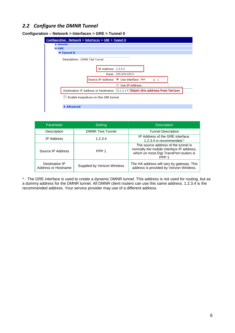#### <span id="page-5-0"></span>*2.2 Configure the DMNR Tunnel*

| $P$ modifie                   |                                                                                   |  |  |  |  |
|-------------------------------|-----------------------------------------------------------------------------------|--|--|--|--|
| $\blacktriangleright$ GRE     |                                                                                   |  |  |  |  |
| $\blacktriangledown$ Tunnel 0 |                                                                                   |  |  |  |  |
| Description: DMNR Test Tunnel |                                                                                   |  |  |  |  |
|                               | IP Address: 1.2.3.4                                                               |  |  |  |  |
|                               | Mask: 255.255.255.0                                                               |  |  |  |  |
|                               | Source IP Address: <sup>O</sup> Use interface PPP                                 |  |  |  |  |
|                               | Use IP Address                                                                    |  |  |  |  |
|                               | Destination IP Address or Hostname:   10.1.2.1 < Obtain this address from Verizon |  |  |  |  |
|                               | Enable keepalives on this GRE tunnel                                              |  |  |  |  |

**Configuration – Network > Interfaces > GRE > Tunnel 0** 

| Parameter                             | Setting                      | <b>Description</b>                                                                                                                              |
|---------------------------------------|------------------------------|-------------------------------------------------------------------------------------------------------------------------------------------------|
| Description                           | <b>DMNR Test Tunnel</b>      | <b>Tunnel Description</b>                                                                                                                       |
| <b>IP Address</b>                     | 1.2.3.4                      | IP Address of the GRE interface.<br>1.2.3.4 is recommended.*                                                                                    |
| Source IP Address                     | PPP <sub>1</sub>             | The source address of the tunnel is<br>normally the mobile interface IP address,<br>which on most Digi TransPort routers is<br>PPP <sub>1</sub> |
| Destination IP<br>Address or Hostname | Supplied by Verizon Wireless | The HA address will vary by gateway. This<br>address is provided by Verizon Wireless.                                                           |

\* - The GRE interface is used to create a dynamic DMNR tunnel. This address is not used for routing, but as a dummy address for the DMNR tunnel. All DMNR client routers can use this same address. 1.2.3.4 is the recommended address. Your service provider may use of a different address.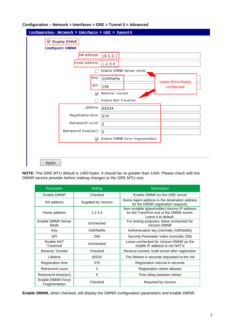#### **Configuration – Network > Interfaces > GRE > Tunnel 0 > Advanced**

|                         | HA address:           | 10.1.2.1                        |                   |
|-------------------------|-----------------------|---------------------------------|-------------------|
|                         | Home address:         | 1.2.3.4                         |                   |
| Enable DMNR Server mode |                       |                                 |                   |
|                         | Key:                  | VzWNeMo                         | Leave these boxes |
|                         | SPI:                  | 256                             | unchecked         |
|                         | $\blacktriangledown$  | <b>Reverse Tunnels</b>          |                   |
|                         |                       | Enable NAT traversal            |                   |
|                         | Lifetime:             | 65534                           |                   |
|                         | Registration time:    | 570                             |                   |
|                         | Retransmit count:     | 3                               |                   |
|                         | Retransmit time(sec): | 5                               |                   |
|                         | $\blacktriangledown$  | Enable DMNR force fragmentation |                   |

**NOTE:** The GRE MTU default is 1400 bytes. It should be no greater than 1430. Please check with the DMNR service provider before making changes to the GRE MTU size.

| Parameter                          | Setting             | <b>Description</b>                                                                                               |
|------------------------------------|---------------------|------------------------------------------------------------------------------------------------------------------|
| Enable DMNR                        | Checked             | Enable DMNR on this GRE tunnel                                                                                   |
| <b>HA</b> address                  | Supplied by Verizon | Home Agent address is the destination address<br>for the DMNR registration requests.                             |
| Home address                       | 1.2.3.4             | Non-routable (placeholder) dummy IP address<br>for the TransPort end of the DMNR tunnel.<br>Leave it to default. |
| Enable DMNR Server<br>Mode         | Unchecked           | For testing purposes; leave unchecked for<br>Verizon DMNR                                                        |
| Key                                | VzWNeMo             | Authentication key (normally VzWNeMo)                                                                            |
| <b>SPI</b>                         | 256                 | Security Parameter Index (normally 256)                                                                          |
| Enable NAT<br>Traversal            | Unchecked           | Leave unchecked for Verizon DMNR as the<br>mobile IP address is not NAT'd                                        |
| <b>Reverse Tunnels</b>             | Checked             | Reverse tunnels, build tunnel after registration                                                                 |
| Lifetime                           | 65534               | The lifetime in seconds requested to the HA                                                                      |
| Registration time                  | 570                 | Registration interval in seconds                                                                                 |
| Retransmit count                   | 3                   | Registration retries allowed                                                                                     |
| Retransmit time(sec)               | 5                   | Time delay between retries                                                                                       |
| Enable DMNR Force<br>Fragmentation | Checked             | Required by Verizon                                                                                              |

**Enable DMNR,** when checked, will display the DMNR configuration parameters and enable DMNR.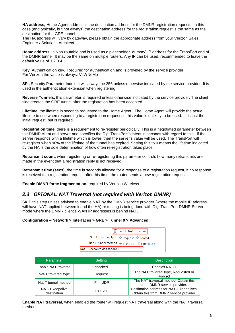**HA address,** Home Agent address is the destination address for the DMNR registration requests. In this case (and typically, but not always) the destination address for the registration request is the same as the destination for the GRE tunnel.

The HA address will vary by gateway, please obtain the appropriate address from your Verizon Sales Engineer / Solutions Architect.

**Home address**, is Non-routable and is used as a placeholder "dummy" IP address for the TransPort end of the DMNR tunnel. It may be the same on multiple routers. Any IP can be used, recommended to leave the default value of 1.2.3.4

**Key,** Authentication key. Required for authentication and is provided by the service provider. For Verizon the value is always: VzWNeMo

**SPI,** Security Parameter Index. It will always be 256 unless otherwise indicated by the service provider. It is used in the authentication extension when registering.

**Reverse Tunnels,** this parameter is required unless otherwise indicated by the service provider. The client side creates the GRE tunnel after the registration has been accepted.

**Lifetime,** the lifetime in seconds requested to the Home Agent. The Home Agent will provide the actual lifetime to use when responding to a registration request so this value is unlikely to be used. It is just the initial request, but is required.

**Registration time,** there is a requirement to re-register periodically. This is a negotiated parameter between the DMNR client and server and specifies the Digi TransPort's intent in seconds with regard to this. If the server responds with a lifetime which is lower, then the server's value will be used. The TransPort will re-register when 90% of the lifetime of the tunnel has expired. Setting this to 0 means the lifetime indicated by the HA is the sole determination of how often re-registration takes place.

**Retransmit count,** when registering or re-registering this parameter controls how many retransmits are made in the event that a registration reply is not received.

**Retransmit time (secs),** the time in seconds allowed for a response to a registration request, if no response is received to a registration request after this time, the router sends a new registration request.

**Enable DMNR force fragmentation,** required by Verizon Wireless.

#### <span id="page-7-0"></span>*2.3 OPTONAL: NAT Traversal (not required with Verizon DMNR)*

SKIP this step unless advised to enable NAT by the DMNR service provider (where the mobile IP address will have NAT applied between it and the HA) or testing is being done with Digi TransPort DMNR Server mode where the DMNR client's WAN IP addresses is behind NAT.

#### **Configuration – Network > Interfaces > GRE > Tunnel 0 > Advanced**



| Parameter                      | Setting   | <b>Description</b>                                                                   |
|--------------------------------|-----------|--------------------------------------------------------------------------------------|
| Enable NAT traversal           | checked   | Enables NAT-T                                                                        |
| Nat-T traversal type           | Request   | The NAT traversal type, Requested or<br>Forced                                       |
| Nat-T tunnel method            | IP in UDP | The NAT traversal method. Obtain this<br>from DMNR service provider.                 |
| NAT-T keepalive<br>destination | 10.1.2.1  | Destination address for NAT-T keepalives.<br>Obtain this from DMNR service provider. |

**Enable NAT traversal,** when enabled the router will request NAT traversal along with the NAT traversal method.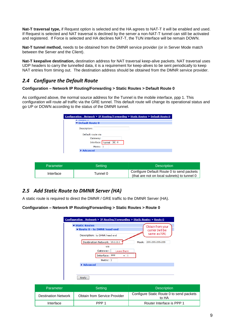**Nat-T traversal type,** if Request option is selected and the HA agrees to NAT-T it will be enabled and used. If Request is selected and NAT traversal is declined by the server a non-NAT-T tunnel can still be activated and registered. If Force is selected and HA declines NAT-T, the TUN interface will be remain DOWN.

**Nat-T tunnel method,** needs to be obtained from the DMNR service provider (or in Server Mode match between the Server and the Client).

**Nat-T keepalive destination,** destination address for NAT traversal keep-alive packets. NAT traversal uses UDP headers to carry the tunnelled data, it is a requirement for keep-alives to be sent periodically to keep NAT entries from timing out. The destination address should be obtained from the DMNR service provider.

#### <span id="page-8-0"></span>*2.4 Configure the Default Route*

#### **Configuration – Network IP Routing/Forwarding > Static Routes > Default Route 0**

As configured above, the normal source address for the Tunnel is the mobile interface, ppp 1. This configuration will route *all* traffic via the GRE tunnel. This default route will change its operational status and go UP or DOWN according to the status of the DMNR tunnel.

| <b>INVULC</b><br>$\blacktriangleright$ Default Route 0 |                         |  |
|--------------------------------------------------------|-------------------------|--|
| Description:                                           |                         |  |
| Default route via                                      |                         |  |
| Gateway:                                               |                         |  |
| Interface: Tunnel                                      | $\vert \bullet \vert$ 0 |  |
| Metric: 1                                              |                         |  |
| Advanced                                               |                         |  |

| <b>Parameter</b> | Setting  | <b>Description</b>                                                                         |
|------------------|----------|--------------------------------------------------------------------------------------------|
| Interface        | Tunnel 0 | Configure Default Route 0 to send packets  <br>(that are not on local subnets) to tunnel 0 |

#### <span id="page-8-1"></span>*2.5 Add Static Route to DMNR Server (HA)*

A static route is required to direct the DMNR / GRE traffic to the DMNR Server (HA).

| Configuration - Network IP Routing/Forwarding > Static Routes > Route 0 |  |  |
|-------------------------------------------------------------------------|--|--|
|-------------------------------------------------------------------------|--|--|

| Configuration - Network > IP Routing/Forwarding > Static Routes > Route 0                                      |                                                     |
|----------------------------------------------------------------------------------------------------------------|-----------------------------------------------------|
| <b>Static Routes</b><br>▼ Route 0 - to DMNR head end<br>Description: to DMNR head end                          | Obtain from your<br>carrier (will be<br>same as HA) |
| Destination Network: 10.1.2.1<br>via<br>Gateway:<br>Leave Blank<br>Interface: PPP<br>$\mathbf{1}$<br>Metric: 1 | Mask: 255.255.255.255                               |
| Advanced<br>Apply                                                                                              |                                                     |

| Parameter                  | Setting                             | <b>Description</b>                                |
|----------------------------|-------------------------------------|---------------------------------------------------|
| <b>Destination Network</b> | <b>Obtain from Service Provider</b> | Configure Static Route 0 to send packets<br>to HA |
| Interface                  | PPP <sub>1</sub>                    | Router Interface is PPP 1                         |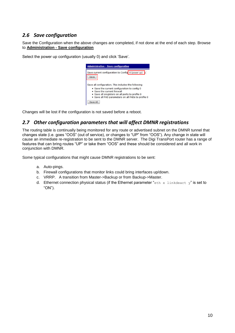#### <span id="page-9-0"></span>*2.6 Save configuration*

Save the Configuration when the above changes are completed, if not done at the end of each step. Browse to **Administration - Save configuration**

Select the power up configuration (usually 0) and click 'Save'.



Changes will be lost if the configuration is not saved before a reboot.

#### <span id="page-9-1"></span>*2.7 Other configuration parameters that will affect DMNR registrations*

The routing table is continually being monitored for any route or advertised subnet on the DMNR tunnel that changes state (i.e. goes "OOS" (out of service), or changes to "UP" from "OOS"). Any change in state will cause an immediate re-registration to be sent to the DMNR server. The Digi TransPort router has a range of features that can bring routes "UP" or take them "OOS" and these should be considered and all work in conjunction with DMNR.

Some typical configurations that might cause DMNR registrations to be sent:

- a. Auto-pings.
- b. Firewall configurations that monitor links could bring interfaces up/down.
- c. VRRP. A transition from Master->Backup or from Backup->Master.
- d. Ethernet connection physical status (if the Ethernet parameter " $eth x$  linkdeact  $y$ " is set to "ON").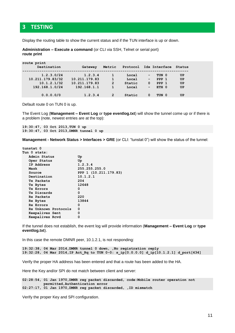# <span id="page-10-0"></span>**3 TESTING**

Display the routing table to show the current status and if the TUN interface is up or down.

```
Administration – Execute a command (or CLI via SSH, Telnet or serial port)
route print
```

| route print<br>Destination | Gateway       | Metric         | Protocol |                   | Idx Interface    | Status |
|----------------------------|---------------|----------------|----------|-------------------|------------------|--------|
| 1.2.3.0/24                 | 1.2.3.4       | $\mathbf{1}$   | Local    | -                 | TUN 0            | UP     |
| 10.211.179.83/32           | 10.211.179.83 | $\mathbf{1}$   | Local    | $\qquad \qquad -$ | PPP <sub>1</sub> | UP     |
| 10.1.2.1/32                | 10.211.179.83 | $\overline{2}$ | Static   | 0                 | PPP <sub>1</sub> | UP     |
| 192.168.1.0/24             | 192.168.1.1   | $\mathbf{1}$   | Local    | -                 | ETH 0            | UP     |
| 0.0.0.0/0                  | 1.2.3.4       | $\overline{2}$ | Static   | 0                 | TUN 0            | UP     |

Default route 0 on TUN 0 is up.

The Event Log (**Management – Event Log** or **type eventlog.txt**) will show the tunnel come up or if there is a problem (note, newest entries are at the top):

**19:30:47, 03 Oct 2013,TUN 0 up 19:30:47, 03 Oct 2013,DMNR tunnel 0 up**

**Management - Network Status > Interfaces > GRE** (or CLI: "tunstat 0") will show the status of the tunnel:

| tunstat 0            |                       |
|----------------------|-----------------------|
| Tun 0 stats:         |                       |
| Admin Status         | Up                    |
| Oper Status          | Up                    |
| IP Address           | 1.2.3.4               |
| Mask                 | 255.255.255.0         |
| Source               | PPP 1 (10.211.179.83) |
| Destination          | 10.1.2.1              |
| Tx Packets           | 204                   |
| <b>Tx Bytes</b>      | 12648                 |
| Tx Errors            | 0                     |
| Tx Discards          | Ω                     |
| Rx Packets           | 220                   |
| Rx Bytes             | 13844                 |
| Rx Errors            | Ω                     |
| Rx Unknown Protocols | Ω                     |
| Keepalives Sent      | 0                     |
| Keepalives Rcvd      | 0                     |

If the tunnel does not establish, the event log will provide information (**Management – Event Log** or **type eventlog.txt**).

In this case the remote DMNR peer, 10.1.2.1, is not responding:

**19:32:38, 04 Mar 2014,DMNR tunnel 0 down, ,No registration reply 19:32:28, 04 Mar 2014,IP Act\_Rq to TUN 0-0: s\_ip[0.0.0.0] d\_ip[10.1.2.1] d\_port[434]**

Verify the proper HA address has been entered and that a route has been added to the HA.

Here the Key and/or SPI do not match between client and server:

**02:28:54, 01 Jan 1970,DMNR reg packet discarded, code:Mobile router operation not permitted,Authentication error 02:27:17, 01 Jan 1970,DMNR reg packet discarded, ,ID mismatch**

Verify the proper Key and SPI configuration.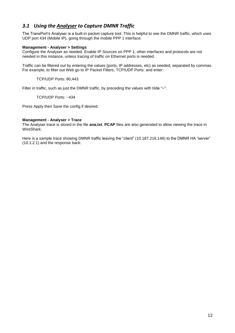# <span id="page-11-0"></span>*3.1 Using the Analyser to Capture DMNR Traffic*

The TransPort's Analyser is a built-in packet capture tool. This is helpful to see the DMNR traffic, which uses UDP port 434 (Mobile IP), going through the mobile PPP 1 interface.

#### **Management - Analyser > Settings**

Configure the Analyser as needed. Enable IP Sources on PPP 1; other interfaces and protocols are not needed in this instance, unless tracing of traffic on Ethernet ports is needed.

Traffic can be filtered *out* by entering the values (ports, IP addresses, etc) as needed, separated by commas. For example, to filter out Web go to IP Packet Filters, TCP/UDP Ports: and enter:

TCP/UDP Ports: 80,443

Filter in traffic, such as just the DMNR traffic, by preceding the values with tilde "~":

TCP/UDP Ports: ~434

Press Apply then Save the config if desired.

#### **Management - Analyser > Trace**

The Analyser trace is stored in the file **ana.txt**. **PCAP** files are also generated to allow viewing the trace in WireShark.

Here is a sample trace showing DMNR traffic leaving the "client" (10.187.216.148) to the DMNR HA "server" (10.1.2.1) and the response back: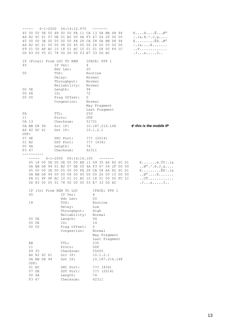| $- - - - -$                      |                           |                            | $6 - 1 - 2000$ |                |                                                   |                                                          | 04:14:12.970                 |                     |                                                                                                                                                                                                                                                                                                          |          |                                                 |  |  |                                                                                                                                                                                                                             |  |  |
|----------------------------------|---------------------------|----------------------------|----------------|----------------|---------------------------------------------------|----------------------------------------------------------|------------------------------|---------------------|----------------------------------------------------------------------------------------------------------------------------------------------------------------------------------------------------------------------------------------------------------------------------------------------------------|----------|-------------------------------------------------|--|--|-----------------------------------------------------------------------------------------------------------------------------------------------------------------------------------------------------------------------------|--|--|
|                                  |                           |                            |                |                |                                                   |                                                          |                              |                     | 45 00 00 5E 00 48 00 00 FA 11 CA 13 0A BB D8 94<br>A6 82 6C 61 07 DE 01 B2 00 4A F3 67 04 2F 00 00<br>45 00 00 3E 00 05 00 00 FA 2F CA 58 0A BB D8 94<br>A6 82 6C 61 00 00 08 00 45 00 00 26 00 05 00 00<br>F9 01 50 AF AC 10 18 01 AC 10 01 01 08 00 F4 1C<br>0D 83 00 05 01 78 00 00 00 03 E7 33 0D AC |          |                                                 |  |  | $E \ldots H \ldots E \ldots \emptyset''$<br>$ .\text{la.P.} ^{2}.\text{J.g.} \ldots$<br>$E \ldots \ldots \ldots \hat{E} X \ldots \varnothing''$<br>$ .\texttt{la} \texttt{E} \ldots$<br>. . P<br>$\ldots x \ldots 3 \ldots$ |  |  |
| IP<br>45                         |                           | (Final) From LOC TO REM    |                |                | IP Ver:                                           |                                                          |                              | 4                   | IFACE: PPP 1                                                                                                                                                                                                                                                                                             |          |                                                 |  |  |                                                                                                                                                                                                                             |  |  |
| 00                               |                           |                            |                | TOS:           | Hdr Len:<br>Delay:<br>Throughput:<br>Reliability: |                                                          |                              | 20                  | Routine<br>Normal<br>Normal                                                                                                                                                                                                                                                                              |          |                                                 |  |  |                                                                                                                                                                                                                             |  |  |
| 00 5E<br>00 48<br>00 00          |                           |                            |                | ID:            | Length:<br>Frag Offset:<br>Congestion:            |                                                          |                              | 94<br>72<br>0       | Normal<br>Normal<br>May Fragment<br>Last Fragment                                                                                                                                                                                                                                                        |          |                                                 |  |  |                                                                                                                                                                                                                             |  |  |
| FA<br>11<br>CA 13<br>UDP:        |                           | 0A BB D8 94<br>A6 82 6C 61 |                | TTL:           | Proto:<br>Checksum:<br>Src IP:<br>Dst IP:         |                                                          |                              | 250<br>UDP<br>51731 | 10.187.216.148<br>10.1.2.1                                                                                                                                                                                                                                                                               |          |                                                 |  |  | $\leftarrow$ this is the mobile IP                                                                                                                                                                                          |  |  |
| 07 DE<br>01 B2<br>00 4A<br>F3 67 |                           |                            |                |                | SRC Port:<br>DST Port:<br>Length:<br>Checksum:    |                                                          |                              | 74<br>62311         | ??? (2014)<br>$???$ (434)                                                                                                                                                                                                                                                                                |          |                                                 |  |  |                                                                                                                                                                                                                             |  |  |
|                                  | -----                     |                            |                | $6 - 1 - 2000$ |                                                   |                                                          | 04:14:16.100                 |                     | 45 18 00 5E 00 0E 00 00 EB 11 D9 35 A6 82 6C 61<br>0A BB D8 94 01 B2 07 DE 00 4A F3 67 04 2F 00 00<br>45 00 00 3E 00 05 00 00 FA 2F CA 58 A6 82 6C 61<br>0A BB D8 94 00 00 08 00 45 00 00 26 00 15 00 00<br>FA 01 4F 9F AC 10 01 01 AC 10 18 01 00 00 FC 1C<br>0D 83 00 05 01 78 00 00 00 03 E7 33 0D AC |          |                                                 |  |  | $E \ldots \ldots \vdots$ ë.Ù5¦.la<br>$\ldots \emptyset''$ $\ldots$ $\mathbb{P}$ $\ldots$ $\mathbb{Q}$ $\ldots$ $\ldots$<br>$E \ldots \ldots \ldots \hat{E}X$ . la<br>$\ldots \varnothing$ " $E$<br>. . 0Ÿ<br>.fx3           |  |  |
|                                  | ΙP<br>45                  |                            |                |                | (In) From REM TO LOC                              | IP Ver:<br>Hdr Len:                                      |                              |                     | 4<br>20                                                                                                                                                                                                                                                                                                  |          | IFACE: PPP 1                                    |  |  |                                                                                                                                                                                                                             |  |  |
|                                  | 18<br>00 5E<br>00 00      | 00 OE                      |                |                | TOS:<br>ID:                                       | Delay:<br>Throughput:<br>Length:                         | Reliability:<br>Fraq Offset: |                     | Routine<br>Low<br>High<br>Normal<br>94<br>14<br>0                                                                                                                                                                                                                                                        |          |                                                 |  |  |                                                                                                                                                                                                                             |  |  |
|                                  | EB<br>11<br>D9 35<br>UDP: | A6 82 6C 61<br>0A BB D8 94 |                |                | TTL:                                              | Congestion:<br>Proto:<br>Checksum:<br>Src IP:<br>Dst IP: |                              |                     | Normal<br>235<br>UDP<br>55605                                                                                                                                                                                                                                                                            | 10.1.2.1 | May Fragment<br>Last Fragment<br>10.187.216.148 |  |  |                                                                                                                                                                                                                             |  |  |
|                                  | 01 B2<br>F3 67            | 07 DE<br>00 4A             |                |                |                                                   | SRC Port:<br>DST Port:<br>Length:<br>Checksum:           |                              |                     | 74<br>62311                                                                                                                                                                                                                                                                                              |          | $???$ (434)<br>??? (2014)                       |  |  |                                                                                                                                                                                                                             |  |  |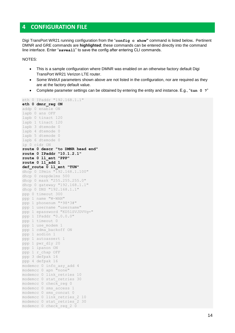#### <span id="page-13-0"></span>**4 CONFIGURATION FILE**

Digi TransPort WR21 running configuration from the "**config c show"** command is listed below**.** Pertinent DMNR and GRE commands are **highlighted**; these commands can be entered directly into the command line interface. Enter "**saveall**" to save the config after entering CLI commands.

NOTES:

- This is a sample configuration where DMNR was enabled on an otherwise factory default Digi TransPort WR21 Verizon LTE router.
- Some WebUI parameters shown above are not listed in the configuration, nor are required as they are at the factory default value.
- Complete parameter settings can be obtained by entering the entity and instance. E.g., "**tun 0 ?**"

```
eth 0 IPaddr "192.168.1.1"
eth 0 dmnr_reg ON
addp 0 enable ON
lapb 0 ans OFF
lapb 0 tinact 120
lapb 1 tinact 120
lapb 3 dtemode 0
lapb 4 dtemode 0
lapb 5 dtemode 0
lapb 6 dtemode 0
ip 0 cidr ON
route 0 descr "to DMNR head end"
route 0 IPaddr "10.1.2.1"
route 0 ll_ent "PPP"
route 0 ll_add 1
def_route 0 ll_ent "TUN"
dhcp 0 IPmin "192.168.1.100"
dhcp 0 respdelms 500
dhcp 0 mask "255.255.255.0"
dhcp 0 gateway "192.168.1.1"
dhcp 0 DNS "192.168.1.1"
ppp 0 timeout 300
ppp 1 name "W-WAN"
ppp 1 phonenum "*98*3#"
ppp 1 username "username"
ppp 1 epassword "KD5lSVJDVVg="
ppp 1 IPaddr "0.0.0.0"
ppp 1 timeout 0
ppp 1 use_modem 1
ppp 1 cdma_backoff ON
ppp 1 aodion 1
ppp 1 autoassert 1
ppp 1 pwr_dly 20
ppp 1 ipanon ON
ppp 1 r_chap OFF
ppp 3 defpak 16
ppp 4 defpak 16
modemcc 0 info_asy_add 4
modemcc 0 apn "none"
modemcc 0 link_retries 10
modemcc 0 stat_retries 30
modemcc 0 check reg 0modemcc 0 sms_access 1
modemcc 0 sms_concat 0
modemcc 0 link_retries_2 10
modemcc 0 stat_retries_2 30
modemcc 0 check_reg_2 0
```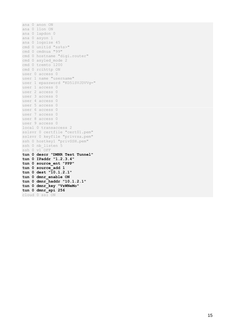ana 0 anon ON ana 0 l1on ON ana 0 lapdon 0 ana 0 asyon 1 ana 0 logsize 45 cmd 0 unitid "ss%s>" cmd 0 cmdnua "99" cmd 0 hostname "digi.router" cmd 0 asyled\_mode 2 cmd 0 tremto 1200 cmd 0 rcihttp ON user 0 access 0 user 1 name "username" user 1 epassword "KD5lSVJDVVg=" user 1 access 0 user 2 access 0 user 3 access 0 user 4 access 0 user 5 access 0 user 6 access 0 user 7 access 0 user 8 access 0 user 9 access 0 local 0 transaccess 2 sslsvr 0 certfile "cert01.pem" sslsvr 0 keyfile "privrsa.pem" ssh 0 hostkey1 "privSSH.pem" ssh 0 nb\_listen 5 ssh  $0 v1$  OFF **tun 0 descr "DMNR Test Tunnel" tun 0 IPaddr "1.2.3.4" tun 0 source\_ent "PPP" tun 0 source\_add 1 tun 0 dest "10.1.2.1" tun 0 dmnr\_enable ON tun 0 dmnr\_haddr "10.1.2.1" tun 0 dmnr\_key "VzWNeMo" tun 0 dmnr\_spi 256** cloud 0 ssl ON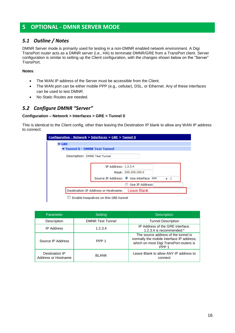# <span id="page-15-0"></span>**5 OPTIONAL - DMNR SERVER MODE**

#### <span id="page-15-1"></span>*5.1 Outline / Notes*

DMNR Server mode is primarily used for testing in a non-DMNR enabled network environment. A Digi TransPort router acts as a DMNR server (i.e., HA) to terminate DMNR/GRE from a TransPort client. Server configuration is similar to setting up the Client configuration, with the changes shown below on the "Server" TransPort.

#### **Notes**:

- The WAN IP address of the Server must be accessible from the Client.
- The WAN port can be either mobile PPP (e.g., cellular), DSL, or Ethernet. Any of these interfaces can be used to test DMNR.
- No Static Routes are needed.

#### <span id="page-15-2"></span>*5.2 Configure DMNR "Server"*

#### **Configuration – Network > Interfaces > GRE > Tunnel 0**

This is identical to the Client config, other than leaving the Destination IP blank to allow any WAN IP address to connect:

| Configuration - Network > Interfaces > GRE > Tunnel 0 |                                                        |  |  |  |  |  |  |
|-------------------------------------------------------|--------------------------------------------------------|--|--|--|--|--|--|
| $r$ GRE                                               |                                                        |  |  |  |  |  |  |
| Tunnel 0 - DMNR Test Tunnel                           |                                                        |  |  |  |  |  |  |
| Description: DMNR Test Tunnel                         |                                                        |  |  |  |  |  |  |
|                                                       | IP Address: 1.2.3.4                                    |  |  |  |  |  |  |
|                                                       | Mask: 255.255.255.0                                    |  |  |  |  |  |  |
|                                                       | Source IP Address: <sup>O</sup> Use interface PPP<br>1 |  |  |  |  |  |  |
|                                                       | Use IP Address                                         |  |  |  |  |  |  |
|                                                       | Destination IP Address or Hostname:   Leave Blank      |  |  |  |  |  |  |
|                                                       | Enable keepalives on this GRE tunnel                   |  |  |  |  |  |  |

| Parameter                             | Setting                 | <b>Description</b>                                                                                                                              |
|---------------------------------------|-------------------------|-------------------------------------------------------------------------------------------------------------------------------------------------|
| Description                           | <b>DMNR Test Tunnel</b> | <b>Tunnel Description</b>                                                                                                                       |
| <b>IP Address</b>                     | 1.2.3.4                 | IP Address of the GRE interface.<br>1.2.3.4 is recommended.*                                                                                    |
| Source IP Address                     | PPP <sub>1</sub>        | The source address of the tunnel is<br>normally the mobile interface IP address,<br>which on most Digi TransPort routers is<br>PPP <sub>1</sub> |
| Destination IP<br>Address or Hostname | <b>BLANK</b>            | Leave Blank to allow ANY IP address to<br>connect                                                                                               |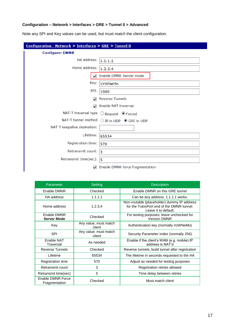#### **Configuration – Network > Interfaces > GRE > Tunnel 0 > Advanced**

Note any SPI and Key values can be used, but must *match* the client configuration.

| Configuration - Network > Interfaces > $GRE$ > Tunnel 0 |                                            |
|---------------------------------------------------------|--------------------------------------------|
| <b>Configure: DMNR</b>                                  |                                            |
| HA address:                                             | 1.1.1.1                                    |
| Home address: $ 1,2,3,4$                                |                                            |
| ✓                                                       | Enable DMNR Server mode                    |
| Key:                                                    | VzWNeMo                                    |
| SPI:                                                    | 1000                                       |
| $\checkmark$                                            | <b>Reverse Tunnels</b>                     |
| $\blacktriangledown$                                    | Enable NAT traversal                       |
| NAT-T traversal type                                    | $\bigcirc$ Request $\bigcirc$ Forced       |
| NAT-T tunnel method                                     | $\bigcirc$ IP in UDP $\bigcirc$ GRE in UDP |
| NAT-T keepalive desination:                             |                                            |
| Lifetime:                                               | 65534                                      |
| Registration time:                                      | 570                                        |
| Retransmit count:                                       | 3                                          |
| Retransmit time(sec):                                   | 5                                          |
| ✓                                                       | Enable DMNR force fragmentation            |

| Parameter                          | Setting                         | <b>Description</b>                                                                                               |
|------------------------------------|---------------------------------|------------------------------------------------------------------------------------------------------------------|
| Enable DMNR                        | Checked                         | Enable DMNR on this GRE tunnel                                                                                   |
| HA address                         | 1.1.1.1                         | Can be any address. 1.1.1.1 works.                                                                               |
| Home address                       | 1.2.3.4                         | Non-routable (placeholder) dummy IP address<br>for the TransPort end of the DMNR tunnel.<br>Leave it to default. |
| Enable DMNR<br><b>Server Mode</b>  | Checked                         | For testing purposes; leave unchecked for<br>Verizon DMNR                                                        |
| Key                                | Any value; must match<br>client | Authentication key (normally VzWNeMo)                                                                            |
| <b>SPI</b>                         | Any value; must match<br>client | Security Parameter Index (normally 256)                                                                          |
| Enable NAT<br>Traversal            | As needed                       | Enable if the client's WAN (e.g. mobile) IP<br>address is NAT'd                                                  |
| <b>Reverse Tunnels</b>             | Checked                         | Reverse tunnels, build tunnel after registration                                                                 |
| Lifetime                           | 65534                           | The lifetime in seconds requested to the HA                                                                      |
| Registration time                  | 570                             | Adjust as needed for testing purposes                                                                            |
| Retransmit count                   | 3                               | Registration retries allowed                                                                                     |
| Retransmit time(sec)               | 5                               | Time delay between retries                                                                                       |
| Enable DMNR Force<br>Fragmentation | Checked                         | Must match client                                                                                                |